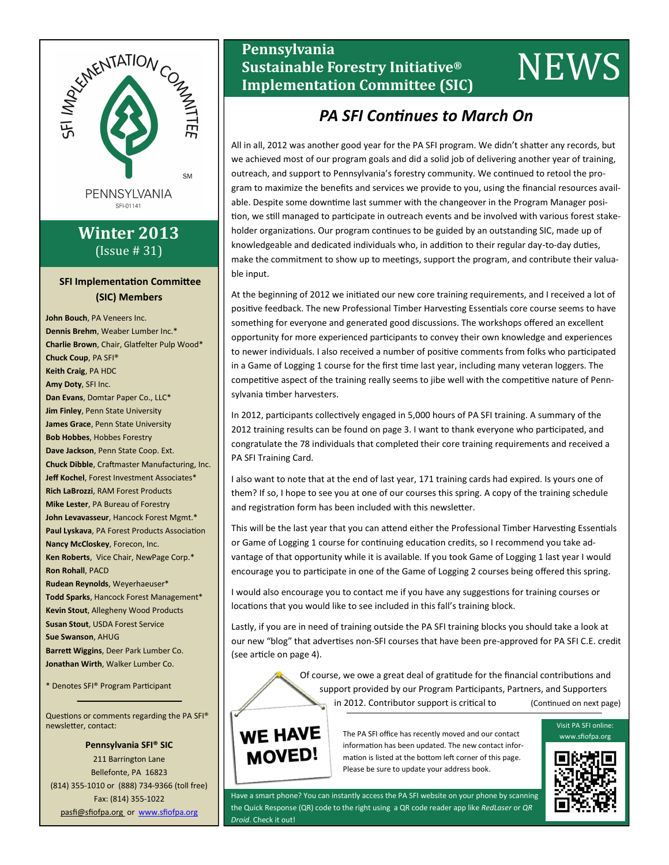

# **Winter 2013** (Issue # 31)

## **SFI Implementation Committee (SIC) Members**

**John Bouch**, PA Veneers Inc. **Dennis Brehm**, Weaber Lumber Inc.\* **Charlie Brown**, Chair, Glatfelter Pulp Wood\* **Chuck Coup**, PA SFI® **Keith Craig**, PA HDC **Amy Doty**, SFI Inc. **Dan Evans**, Domtar Paper Co., LLC\* **Jim Finley**, Penn State University **James Grace**, Penn State University **Bob Hobbes**, Hobbes Forestry **Dave Jackson**, Penn State Coop. Ext. **Chuck Dibble**, Craftmaster Manufacturing, Inc. **Jeff Kochel**, Forest Investment Associates\* **Rich LaBrozzi**, RAM Forest Products **Mike Lester**, PA Bureau of Forestry **John Levavasseur**, Hancock Forest Mgmt.\* **Paul Lyskava**, PA Forest Products Association **Nancy McCloskey**, Forecon, Inc. **Ken Roberts**, Vice Chair, NewPage Corp.\* **Ron Rohall**, PACD **Rudean Reynolds**, Weyerhaeuser\* **Todd Sparks**, Hancock Forest Management\* **Kevin Stout**, Allegheny Wood Products **Susan Stout**, USDA Forest Service **Sue Swanson**, AHUG **Barrett Wiggins**, Deer Park Lumber Co. **Jonathan Wirth**, Walker Lumber Co.

\* Denotes SFI® Program Participant

Questions or comments regarding the PA SFI® newsletter, contact:

**Pennsylvania SFI® SIC** 211 Barrington Lane Bellefonte, PA 16823 (814) 355-1010 or (888) 734-9366 (toll free) Fax: (814) 355-1022 pasfi@sfiofpa.org or [www.sfiofpa.org](http://www.sfiofpa.org)

# **Pennsylvania Sustainable Forestry Initiative® In Emisylvatica**<br> **Implementation Committee (SIC)**<br> **Implementation Committee (SIC)**

# *PA SFI Continues to March On*

All in all, 2012 was another good year for the PA SFI program. We didn't shatter any records, but we achieved most of our program goals and did a solid job of delivering another year of training, outreach, and support to Pennsylvania's forestry community. We continued to retool the program to maximize the benefits and services we provide to you, using the financial resources available. Despite some downtime last summer with the changeover in the Program Manager position, we still managed to participate in outreach events and be involved with various forest stakeholder organizations. Our program continues to be guided by an outstanding SIC, made up of knowledgeable and dedicated individuals who, in addition to their regular day-to-day duties, make the commitment to show up to meetings, support the program, and contribute their valuable input.

At the beginning of 2012 we initiated our new core training requirements, and I received a lot of positive feedback. The new Professional Timber Harvesting Essentials core course seems to have something for everyone and generated good discussions. The workshops offered an excellent opportunity for more experienced participants to convey their own knowledge and experiences to newer individuals. I also received a number of positive comments from folks who participated in a Game of Logging 1 course for the first time last year, including many veteran loggers. The competitive aspect of the training really seems to jibe well with the competitive nature of Pennsylvania timber harvesters.

In 2012, participants collectively engaged in 5,000 hours of PA SFI training. A summary of the 2012 training results can be found on page 3. I want to thank everyone who participated, and congratulate the 78 individuals that completed their core training requirements and received a PA SFI Training Card.

I also want to note that at the end of last year, 171 training cards had expired. Is yours one of them? If so, I hope to see you at one of our courses this spring. A copy of the training schedule and registration form has been included with this newsletter.

This will be the last year that you can attend either the Professional Timber Harvesting Essentials or Game of Logging 1 course for continuing education credits, so I recommend you take advantage of that opportunity while it is available. If you took Game of Logging 1 last year I would encourage you to participate in one of the Game of Logging 2 courses being offered this spring.

I would also encourage you to contact me if you have any suggestions for training courses or locations that you would like to see included in this fall's training block.

Lastly, if you are in need of training outside the PA SFI training blocks you should take a look at our new "blog" that advertises non-SFI courses that have been pre-approved for PA SFI C.E. credit (see article on page 4).

> Of course, we owe a great deal of gratitude for the financial contributions and support provided by our Program Participants, Partners, and Supporters in 2012. Contributor support is critical to (Continued on next page)



The PA SFI office has recently moved and our contact information has been updated. The new contact information is listed at the bottom left corner of this page. Please be sure to update your address book.

Have a smart phone? You can instantly access the PA SFI website on your phone by scanning the Quick Response (QR) code to the right using a QR code reader app like *RedLaser* or *QR Droid*. Check it out!



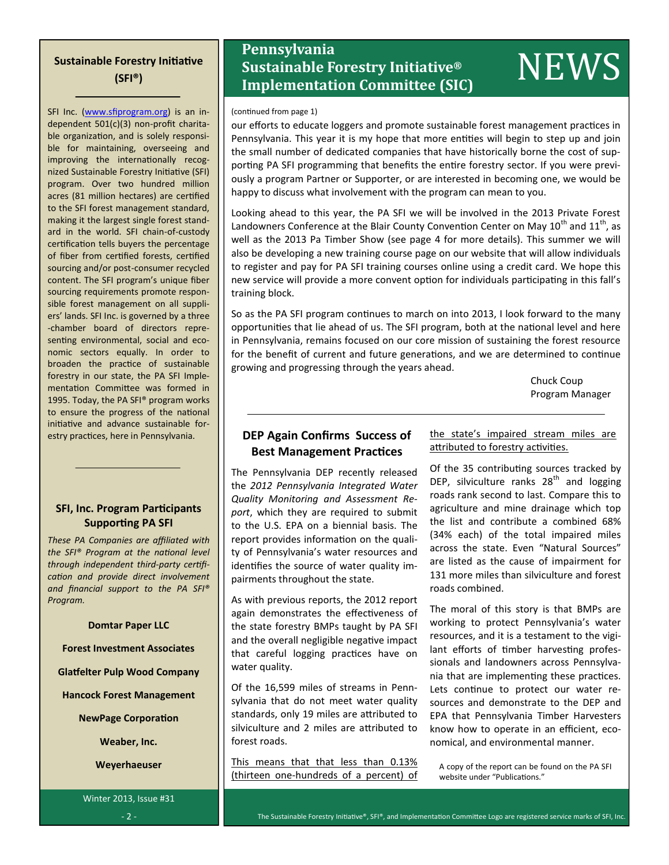# **Sustainable Forestry Initiative (SFI®)**

SFI Inc. ([www.sfiprogram.org\)](http://www.sfiprogram.org/) is an independent 501(c)(3) non-profit charitable organization, and is solely responsible for maintaining, overseeing and improving the internationally recognized Sustainable Forestry Initiative (SFI) program. Over two hundred million acres (81 million hectares) are certified to the SFI forest management standard, making it the largest single forest standard in the world. SFI chain-of-custody certification tells buyers the percentage of fiber from certified forests, certified sourcing and/or post-consumer recycled content. The SFI program's unique fiber sourcing requirements promote responsible forest management on all suppliers' lands. SFI Inc. is governed by a three -chamber board of directors representing environmental, social and economic sectors equally. In order to broaden the practice of sustainable forestry in our state, the PA SFI Implementation Committee was formed in 1995. Today, the PA SFI® program works to ensure the progress of the national initiative and advance sustainable forestry practices, here in Pennsylvania.

## **SFI, Inc. Program Participants Supporting PA SFI**

*These PA Companies are affiliated with the SFI® Program at the national level through independent third-party certification and provide direct involvement and financial support to the PA SFI® Program.*

**Domtar Paper LLC**

**Forest Investment Associates**

**Glatfelter Pulp Wood Company**

**Hancock Forest Management**

**NewPage Corporation**

**Weaber, Inc.**

**Weyerhaeuser**

Winter 2013, Issue #31

# **Pennsylvania Sustainable Forestry Initiative® Instrumental Confidence**<br> **Implementation Committee (SIC)**<br> **Implementation Committee (SIC)**

### (continued from page 1)

our efforts to educate loggers and promote sustainable forest management practices in Pennsylvania. This year it is my hope that more entities will begin to step up and join the small number of dedicated companies that have historically borne the cost of supporting PA SFI programming that benefits the entire forestry sector. If you were previously a program Partner or Supporter, or are interested in becoming one, we would be happy to discuss what involvement with the program can mean to you.

Looking ahead to this year, the PA SFI we will be involved in the 2013 Private Forest Landowners Conference at the Blair County Convention Center on May  $10^{th}$  and  $11^{th}$ , as well as the 2013 Pa Timber Show (see page 4 for more details). This summer we will also be developing a new training course page on our website that will allow individuals to register and pay for PA SFI training courses online using a credit card. We hope this new service will provide a more convent option for individuals participating in this fall's training block.

So as the PA SFI program continues to march on into 2013, I look forward to the many opportunities that lie ahead of us. The SFI program, both at the national level and here in Pennsylvania, remains focused on our core mission of sustaining the forest resource for the benefit of current and future generations, and we are determined to continue growing and progressing through the years ahead.

> Chuck Coup Program Manager

## **DEP Again Confirms Success of Best Management Practices**

The Pennsylvania DEP recently released the *2012 Pennsylvania Integrated Water Quality Monitoring and Assessment Report*, which they are required to submit to the U.S. EPA on a biennial basis. The report provides information on the quality of Pennsylvania's water resources and identifies the source of water quality impairments throughout the state.

As with previous reports, the 2012 report again demonstrates the effectiveness of the state forestry BMPs taught by PA SFI and the overall negligible negative impact that careful logging practices have on water quality.

Of the 16,599 miles of streams in Pennsylvania that do not meet water quality standards, only 19 miles are attributed to silviculture and 2 miles are attributed to forest roads.

This means that that less than 0.13% (thirteen one-hundreds of a percent) of the state's impaired stream miles are attributed to forestry activities.

Of the 35 contributing sources tracked by DEP, silviculture ranks  $28<sup>th</sup>$  and logging roads rank second to last. Compare this to agriculture and mine drainage which top the list and contribute a combined 68% (34% each) of the total impaired miles across the state. Even "Natural Sources" are listed as the cause of impairment for 131 more miles than silviculture and forest roads combined.

The moral of this story is that BMPs are working to protect Pennsylvania's water resources, and it is a testament to the vigilant efforts of timber harvesting professionals and landowners across Pennsylvania that are implementing these practices. Lets continue to protect our water resources and demonstrate to the DEP and EPA that Pennsylvania Timber Harvesters know how to operate in an efficient, economical, and environmental manner.

A copy of the report can be found on the PA SFI website under "Publications."

- 2 - The Sustainable Forestry Initiative®, SFI®, and Implementation Committee Logo are registered service marks of SFI, Inc.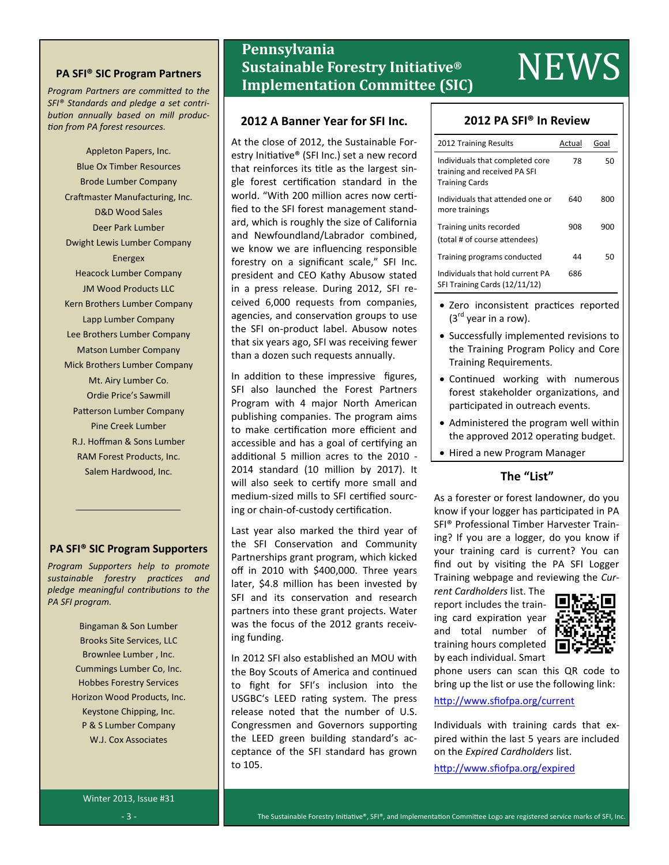## **PA SFI® SIC Program Partners**

*Program Partners are committed to the SFI® Standards and pledge a set contribution annually based on mill production from PA forest resources.*

> Appleton Papers, Inc. Blue Ox Timber Resources Brode Lumber Company Craftmaster Manufacturing, Inc. D&D Wood Sales Deer Park Lumber Dwight Lewis Lumber Company Energex Heacock Lumber Company JM Wood Products LLC Kern Brothers Lumber Company Lapp Lumber Company Lee Brothers Lumber Company Matson Lumber Company Mick Brothers Lumber Company Mt. Airy Lumber Co. Ordie Price's Sawmill Patterson Lumber Company Pine Creek Lumber R.J. Hoffman & Sons Lumber RAM Forest Products, Inc. Salem Hardwood, Inc.

## **PA SFI® SIC Program Supporters**

*Program Supporters help to promote sustainable forestry practices and pledge meaningful contributions to the PA SFI program.*

> Bingaman & Son Lumber Brooks Site Services, LLC Brownlee Lumber , Inc. Cummings Lumber Co, Inc. Hobbes Forestry Services Horizon Wood Products, Inc. Keystone Chipping, Inc. P & S Lumber Company W.J. Cox Associates

# **Pennsylvania Sustainable Forestry Initiative® Implementation Committee (SIC)** NEWS

## **2012 A Banner Year for SFI Inc.**

At the close of 2012, the Sustainable Forestry Initiative® (SFI Inc.) set a new record that reinforces its title as the largest single forest certification standard in the world. "With 200 million acres now certified to the SFI forest management standard, which is roughly the size of California and Newfoundland/Labrador combined, we know we are influencing responsible forestry on a significant scale," SFI Inc. president and CEO Kathy Abusow stated in a press release. During 2012, SFI received 6,000 requests from companies, agencies, and conservation groups to use the SFI on-product label. Abusow notes that six years ago, SFI was receiving fewer than a dozen such requests annually.

In addition to these impressive figures, SFI also launched the Forest Partners Program with 4 major North American publishing companies. The program aims to make certification more efficient and accessible and has a goal of certifying an additional 5 million acres to the 2010 - 2014 standard (10 million by 2017). It will also seek to certify more small and medium-sized mills to SFI certified sourcing or chain-of-custody certification.

Last year also marked the third year of the SFI Conservation and Community Partnerships grant program, which kicked off in 2010 with \$400,000. Three years later, \$4.8 million has been invested by SFI and its conservation and research partners into these grant projects. Water was the focus of the 2012 grants receiving funding.

In 2012 SFI also established an MOU with the Boy Scouts of America and continued to fight for SFI's inclusion into the USGBC's LEED rating system. The press release noted that the number of U.S. Congressmen and Governors supporting the LEED green building standard's acceptance of the SFI standard has grown to 105.

## **2012 PA SFI® In Review**

| 2012 Training Results                                                                    | Actual | Goal |
|------------------------------------------------------------------------------------------|--------|------|
| Individuals that completed core<br>training and received PA SFI<br><b>Training Cards</b> | 78     | 50   |
| Individuals that attended one or<br>more trainings                                       | 640    | 800  |
| Training units recorded<br>(total # of course attendees)                                 | 908    | 900  |
| Training programs conducted                                                              | 44     | 50   |
| Individuals that hold current PA<br>SFI Training Cards (12/11/12)                        | 686    |      |

- Zero inconsistent practices reported  $(3<sup>rd</sup>$  year in a row).
- Successfully implemented revisions to the Training Program Policy and Core Training Requirements.
- Continued working with numerous forest stakeholder organizations, and participated in outreach events.
- Administered the program well within the approved 2012 operating budget.
- Hired a new Program Manager

## **The "List"**

As a forester or forest landowner, do you know if your logger has participated in PA SFI® Professional Timber Harvester Training? If you are a logger, do you know if your training card is current? You can find out by visiting the PA SFI Logger Training webpage and reviewing the *Cur-*

*rent Cardholders* list. The report includes the training card expiration year and total number of training hours completed by each individual. Smart



phone users can scan this QR code to bring up the list or use the following link:

<http://www.sfiofpa.org/current>

Individuals with training cards that expired within the last 5 years are included on the *Expired Cardholders* list.

[http://www.sfiofpa.org/expired](http://www.sfiofpa.org/expiredC:/Users/PASFI/Documents/BlackBerry)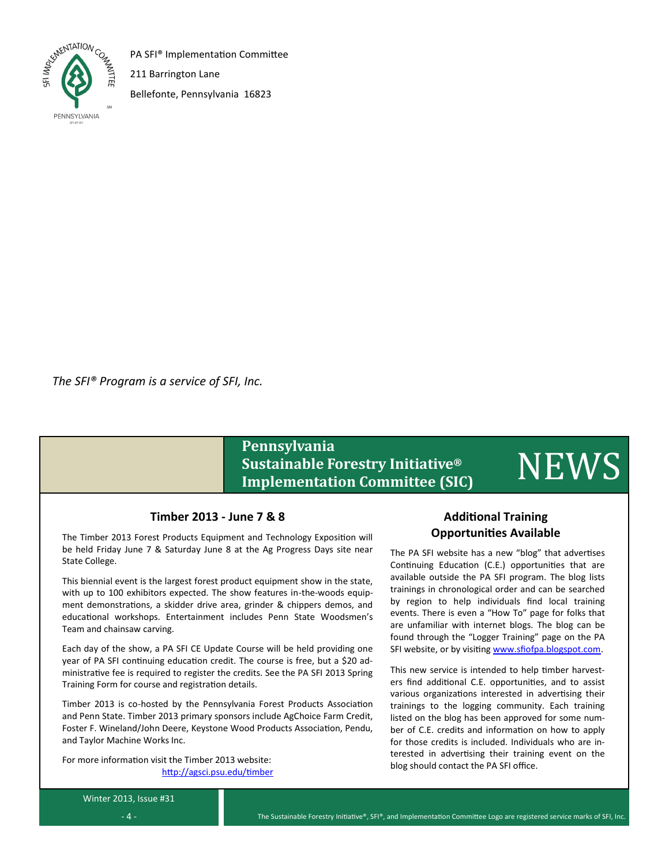

PA SFI® Implementation Committee

211 Barrington Lane

Bellefonte, Pennsylvania 16823

*The SFI® Program is a service of SFI, Inc.*

# **Pennsylvania Sustainable Forestry Initiative® Implementation Committee (SIC)** NEWS

## **Timber 2013 - June 7 & 8**

The Timber 2013 Forest Products Equipment and Technology Exposition will be held Friday June 7 & Saturday June 8 at the Ag Progress Days site near State College.

This biennial event is the largest forest product equipment show in the state, with up to 100 exhibitors expected. The show features in-the-woods equipment demonstrations, a skidder drive area, grinder & chippers demos, and educational workshops. Entertainment includes Penn State Woodsmen's Team and chainsaw carving.

Each day of the show, a PA SFI CE Update Course will be held providing one year of PA SFI continuing education credit. The course is free, but a \$20 administrative fee is required to register the credits. See the PA SFI 2013 Spring Training Form for course and registration details.

Timber 2013 is co-hosted by the Pennsylvania Forest Products Association and Penn State. Timber 2013 primary sponsors include AgChoice Farm Credit, Foster F. Wineland/John Deere, Keystone Wood Products Association, Pendu, and Taylor Machine Works Inc.

For more information visit the Timber 2013 website: <http://agsci.psu.edu/timber>

## **Additional Training Opportunities Available**

The PA SFI website has a new "blog" that advertises Continuing Education (C.E.) opportunities that are available outside the PA SFI program. The blog lists trainings in chronological order and can be searched by region to help individuals find local training events. There is even a "How To" page for folks that are unfamiliar with internet blogs. The blog can be found through the "Logger Training" page on the PA SFI website, or by visiting [www.sfiofpa.blogspot.com.](http://www.sfiofpa.blogspot.com)

This new service is intended to help timber harvesters find additional C.E. opportunities, and to assist various organizations interested in advertising their trainings to the logging community. Each training listed on the blog has been approved for some number of C.E. credits and information on how to apply for those credits is included. Individuals who are interested in advertising their training event on the blog should contact the PA SFI office.

Winter 2013, Issue #31  $- 4 -$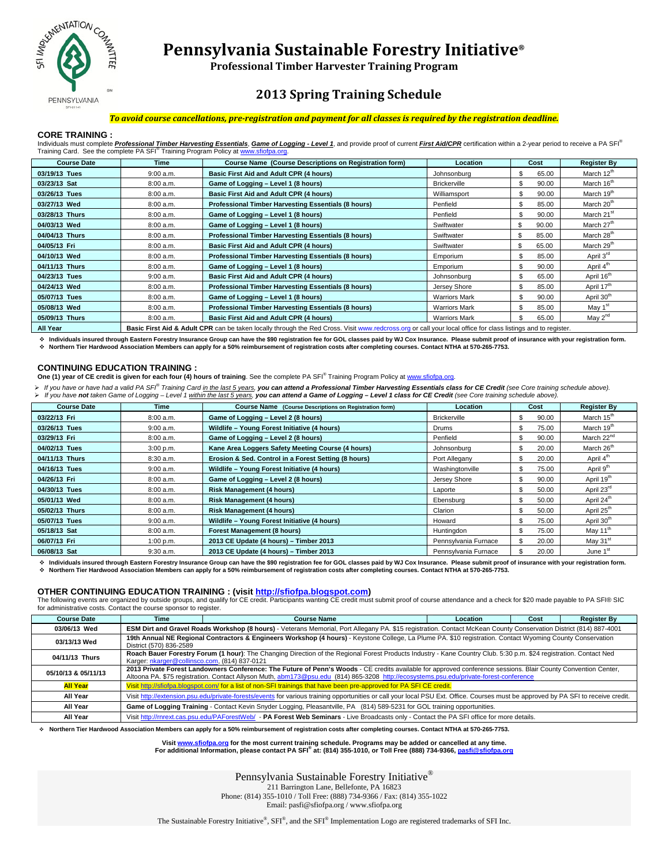

# **Pennsylvania Sustainable Forestry Initiative®**

**Professional Timber Harvester Training Program**

## **2013 Spring Training Schedule**

### *To avoid course cancellations, pre-registration and payment for all classes is required by the registration deadline.*

### **CORE TRAINING :**

Individuals must complete *Professional Timber Harvesting Essentials*, Game of Logging - Level 1, and provide proof of current First Aid/CPR certification within a 2-year period to receive a PA SFI<sup>®</sup> Training Card. See the complete PA SFI<sup>®</sup> Training Program Policy at www.sfiofpa.org.

| <b>Course Date</b> | Time      | <b>Course Name (Course Descriptions on Registration form)</b>                                                                                                           | Location             | Cost         | <b>Register By</b>     |
|--------------------|-----------|-------------------------------------------------------------------------------------------------------------------------------------------------------------------------|----------------------|--------------|------------------------|
| 03/19/13 Tues      | 9:00 a.m. | Basic First Aid and Adult CPR (4 hours)                                                                                                                                 | Johnsonburg          | \$<br>65.00  | March 12th             |
| 03/23/13 Sat       | 8:00 a.m. | Game of Logging - Level 1 (8 hours)                                                                                                                                     | <b>Brickerville</b>  | \$.<br>90.00 | March 16 <sup>th</sup> |
| 03/26/13 Tues      | 8:00 a.m. | Basic First Aid and Adult CPR (4 hours)                                                                                                                                 | Williamsport         | S<br>90.00   | March 19 <sup>th</sup> |
| 03/27/13 Wed       | 8:00 a.m. | Professional Timber Harvesting Essentials (8 hours)                                                                                                                     | Penfield             | \$.<br>85.00 | March 20th             |
| 03/28/13 Thurs     | 8:00 a.m. | Game of Logging - Level 1 (8 hours)                                                                                                                                     | Penfield             | \$.<br>90.00 | March 21 <sup>st</sup> |
| 04/03/13 Wed       | 8:00 a.m. | Game of Logging - Level 1 (8 hours)                                                                                                                                     | Swiftwater           | \$<br>90.00  | March 27 <sup>th</sup> |
| 04/04/13 Thurs     | 8:00 a.m. | Professional Timber Harvesting Essentials (8 hours)                                                                                                                     | Swiftwater           | \$<br>85.00  | March 28 <sup>th</sup> |
| 04/05/13 Fri       | 8:00 a.m. | Basic First Aid and Adult CPR (4 hours)                                                                                                                                 | Swiftwater           | \$<br>65.00  | March 29 <sup>th</sup> |
| 04/10/13 Wed       | 8:00 a.m. | Professional Timber Harvesting Essentials (8 hours)                                                                                                                     | Emporium             | \$.<br>85.00 | April 3 <sup>rd</sup>  |
| 04/11/13 Thurs     | 8:00 a.m. | Game of Logging - Level 1 (8 hours)                                                                                                                                     | Emporium             | \$<br>90.00  | April 4 <sup>th</sup>  |
| 04/23/13 Tues      | 9:00 a.m. | Basic First Aid and Adult CPR (4 hours)                                                                                                                                 | Johnsonburg          | \$<br>65.00  | April 16 <sup>th</sup> |
| 04/24/13 Wed       | 8:00 a.m. | Professional Timber Harvesting Essentials (8 hours)                                                                                                                     | Jersey Shore         | \$<br>85.00  | April 17 <sup>th</sup> |
| 05/07/13 Tues      | 8:00 a.m. | Game of Logging - Level 1 (8 hours)                                                                                                                                     | <b>Warriors Mark</b> | \$.<br>90.00 | April 30 <sup>th</sup> |
| 05/08/13 Wed       | 8:00 a.m. | Professional Timber Harvesting Essentials (8 hours)                                                                                                                     | <b>Warriors Mark</b> | \$.<br>85.00 | May 1 <sup>st</sup>    |
| 05/09/13 Thurs     | 8:00 a.m. | Basic First Aid and Adult CPR (4 hours)                                                                                                                                 | <b>Warriors Mark</b> | \$<br>65.00  | May $2^{nd}$           |
| All Voor           |           | <b>Basic First Aid &amp; Adult CPP</b> can be taken locally through the Red Crees. Visit www.redecese.org or call your local effice for class listings and to register. |                      |              |                        |

**All Year** Basic First Aid & Adult CPR can be taken locally through the Red Cross. Visit www.redcross.org or call your local office for class listings and to register.

 **Individuals insured through Eastern Forestry Insurance Group can have the \$90 registration fee for GOL classes paid by WJ Cox Insurance. Please submit proof of insurance with your registration form. Northern Tier Hardwood Association Members can apply for a 50% reimbursement of registration costs after completing courses. Contact NTHA at 570-265-7753.** 

### **CONTINUING EDUCATION TRAINING :**

**One (1) year of CE credit is given for each four (4) hours of training**. See the complete PA SFI® Training Program Policy at www.sfiofpa.org.

≻ If you have or have had a valid PA SF<sup>®</sup> Training Card <u>in the last 5 years</u>, **you can attend a Professional Timber Harvesting Essentials class for CE Credit** (see Core training schedule above).<br>≻ If you have **not** take

| <b>Course Date</b> | Time      | <b>Course Name</b> (Course Descriptions on Registration form) | <b>Location</b>      | Cost         | <b>Register By</b>     |
|--------------------|-----------|---------------------------------------------------------------|----------------------|--------------|------------------------|
| 03/22/13 Fri       | 8:00 a.m. | Game of Logging - Level 2 (8 hours)                           | <b>Brickerville</b>  | \$<br>90.00  | March 15 <sup>th</sup> |
| 03/26/13 Tues      | 9:00 a.m. | Wildlife - Young Forest Initiative (4 hours)                  | <b>Drums</b>         | \$<br>75.00  | March 19 <sup>th</sup> |
| 03/29/13 Fri       | 8:00 a.m. | Game of Logging - Level 2 (8 hours)                           | Penfield             | \$<br>90.00  | March 22 <sup>nd</sup> |
| 04/02/13 Tues      | 3:00 p.m. | Kane Area Loggers Safety Meeting Course (4 hours)             | Johnsonburg          | \$.<br>20.00 | March 26 <sup>th</sup> |
| 04/11/13 Thurs     | 8:30 a.m. | Erosion & Sed. Control in a Forest Setting (8 hours)          | Port Allegany        | \$<br>20.00  | April 4 <sup>th</sup>  |
| 04/16/13 Tues      | 9:00 a.m. | Wildlife - Young Forest Initiative (4 hours)                  | Washingtonville      | \$<br>75.00  | April 9 <sup>th</sup>  |
| 04/26/13 Fri       | 8:00 a.m. | Game of Logging - Level 2 (8 hours)                           | Jersey Shore         | \$<br>90.00  | April 19 <sup>th</sup> |
| 04/30/13 Tues      | 8:00 a.m. | <b>Risk Management (4 hours)</b>                              | Laporte              | \$<br>50.00  | April 23 <sup>rd</sup> |
| 05/01/13 Wed       | 8:00a.m.  | <b>Risk Management (4 hours)</b>                              | Ebensburg            | \$<br>50.00  | April 24 <sup>th</sup> |
| 05/02/13 Thurs     | 8:00a.m.  | <b>Risk Management (4 hours)</b>                              | Clarion              | \$<br>50.00  | April 25 <sup>th</sup> |
| 05/07/13 Tues      | 9:00 a.m. | Wildlife - Young Forest Initiative (4 hours)                  | Howard               | \$<br>75.00  | April 30th             |
| 05/18/13 Sat       | 8:00 a.m. | Forest Management (8 hours)                                   | Huntingdon           | \$<br>75.00  | May 11 <sup>th</sup>   |
| 06/07/13 Fri       | 1:00 p.m. | 2013 CE Update (4 hours) - Timber 2013                        | Pennsylvania Furnace | \$.<br>20.00 | May 31 <sup>st</sup>   |
| 06/08/13 Sat       | 9:30 a.m. | 2013 CE Update (4 hours) - Timber 2013                        | Pennsylvania Furnace | \$.<br>20.00 | June 1 <sup>st</sup>   |

 **Individuals insured through Eastern Forestry Insurance Group can have the \$90 registration fee for GOL classes paid by WJ Cox Insurance. Please submit proof of insurance with your registration form. Northern Tier Hardwood Association Members can apply for a 50% reimbursement of registration costs after completing courses. Contact NTHA at 570-265-7753.** 

### **OTHER CONTINUING EDUCATION TRAINING : (visit http://sfiofpa.blogspot.com)**

The following events are organized by outside groups, and qualify for CE credit. Participants wanting CE credit must submit proof of course attendance and a check for \$20 made payable to PA SFI® SIC for administrative costs. Contact the course sponsor to register.

| <b>Course Date</b>  | Time                                                                                                                                                                                                                                                                                                     | <b>Course Name</b>                                                                                                                                                                 | Location | Cost | <b>Register By</b> |
|---------------------|----------------------------------------------------------------------------------------------------------------------------------------------------------------------------------------------------------------------------------------------------------------------------------------------------------|------------------------------------------------------------------------------------------------------------------------------------------------------------------------------------|----------|------|--------------------|
| 03/06/13 Wed        | ESM Dirt and Gravel Roads Workshop (8 hours) - Veterans Memorial, Port Allegany PA. \$15 registration. Contact McKean County Conservation District (814) 887-4001                                                                                                                                        |                                                                                                                                                                                    |          |      |                    |
| 03/13/13 Wed        | 19th Annual NE Regional Contractors & Engineers Workshop (4 hours) - Keystone College, La Plume PA. \$10 registration. Contact Wyoming County Conservation<br>District (570) 836-2589                                                                                                                    |                                                                                                                                                                                    |          |      |                    |
| 04/11/13 Thurs      | Roach Bauer Forestry Forum (1 hour): The Changing Direction of the Regional Forest Products Industry - Kane Country Club. 5:30 p.m. \$24 registration. Contact Ned<br>Karger: nkarger@collinsco.com, (814) 837-0121                                                                                      |                                                                                                                                                                                    |          |      |                    |
| 05/10/13 & 05/11/13 | 2013 Private Forest Landowners Conference: The Future of Penn's Woods - CE credits available for approved conference sessions. Blair County Convention Center,<br>Altoona PA. \$75 registration. Contact Allyson Muth, abm173@psu.edu (814) 865-3208 http://ecosystems.psu.edu/private-forest-conference |                                                                                                                                                                                    |          |      |                    |
| <b>All Year</b>     | Visit http://sfiofpa.blogspot.com/ for a list of non-SFI trainings that have been pre-approved for PA SFI CE credit.                                                                                                                                                                                     |                                                                                                                                                                                    |          |      |                    |
| All Year            |                                                                                                                                                                                                                                                                                                          | Visit http://extension.psu.edu/private-forests/events for various training opportunities or call your local PSU Ext. Office. Courses must be approved by PA SFI to receive credit. |          |      |                    |
| All Year            |                                                                                                                                                                                                                                                                                                          | Game of Logging Training - Contact Kevin Snyder Logging, Pleasantville, PA (814) 589-5231 for GOL training opportunities.                                                          |          |      |                    |
| All Year            |                                                                                                                                                                                                                                                                                                          | Visit http://rnrext.cas.psu.edu/PAForestWeb/ - PA Forest Web Seminars - Live Broadcasts only - Contact the PA SFI office for more details.                                         |          |      |                    |

**Northern Tier Hardwood Association Members can apply for a 50% reimbursement of registration costs after completing courses. Contact NTHA at 570-265-7753.**

## . Visit <u>www.sfiofpa.org</u> for the most current training schedule. Programs may be added or cancelled at any time<br>For additional Information, please contact PA SFI® at: (814) 355-1010, or Toll Free (888) 734-9366, <u>pasfi@sf</u>

Pennsylvania Sustainable Forestry Initiative®

211 Barrington Lane, Bellefonte, PA 16823

Phone: (814) 355-1010 / Toll Free: (888) 734-9366 / Fax: (814) 355-1022

Email: pasfi@sfiofpa.org / www.sfiofpa.org